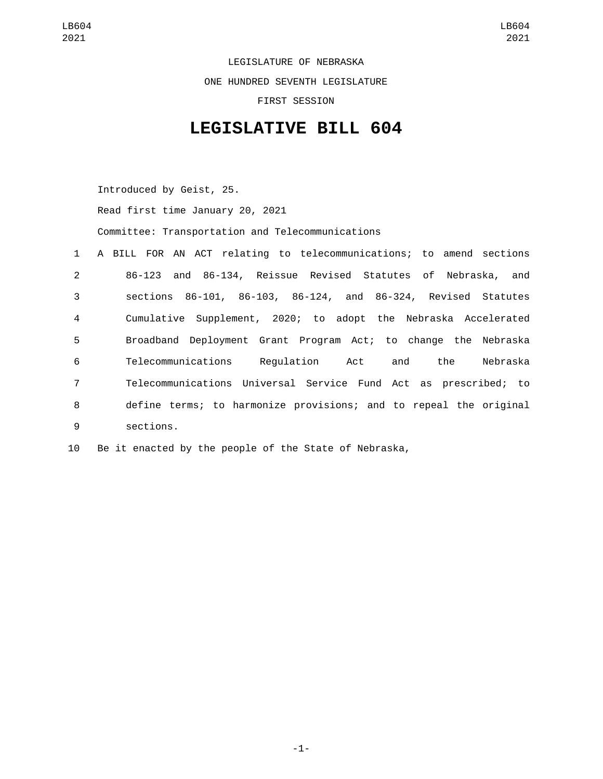LEGISLATURE OF NEBRASKA ONE HUNDRED SEVENTH LEGISLATURE FIRST SESSION

## **LEGISLATIVE BILL 604**

Introduced by Geist, 25.

Read first time January 20, 2021

Committee: Transportation and Telecommunications

| $1 \quad$       | A BILL FOR AN ACT relating to telecommunications; to amend sections |
|-----------------|---------------------------------------------------------------------|
| $2^{\circ}$     | 86-123 and 86-134, Reissue Revised Statutes of Nebraska, and        |
| 3               | sections 86-101, 86-103, 86-124, and 86-324, Revised Statutes       |
| $\overline{4}$  | Cumulative Supplement, 2020; to adopt the Nebraska Accelerated      |
| 5               | Broadband Deployment Grant Program Act; to change the Nebraska      |
| 6               | Telecommunications Regulation Act<br>and the<br>Nebraska            |
| $7\overline{ }$ | Telecommunications Universal Service Fund Act as prescribed; to     |
| 8               | define terms; to harmonize provisions; and to repeal the original   |
| 9               | sections.                                                           |

10 Be it enacted by the people of the State of Nebraska,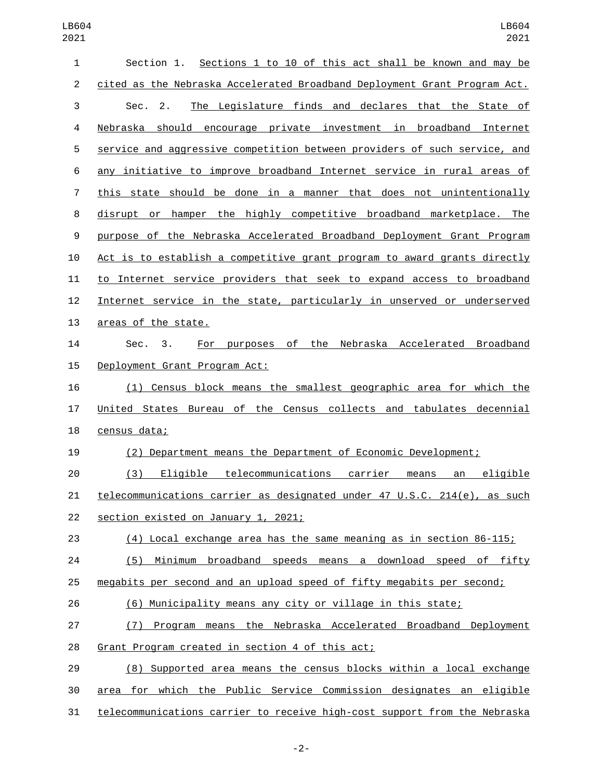| 1              | Section 1. Sections 1 to 10 of this act shall be known and may be         |
|----------------|---------------------------------------------------------------------------|
| $\overline{c}$ | cited as the Nebraska Accelerated Broadband Deployment Grant Program Act. |
| 3              | The Legislature finds and declares that the State of<br>Sec. 2.           |
| 4              | Nebraska should encourage private investment in broadband Internet        |
| 5              | service and aggressive competition between providers of such service, and |
| 6              | any initiative to improve broadband Internet service in rural areas of    |
| 7              | this state should be done in a manner that does not unintentionally       |
| 8              | disrupt or hamper the highly competitive broadband marketplace. The       |
| 9              | purpose of the Nebraska Accelerated Broadband Deployment Grant Program    |
| 10             | Act is to establish a competitive grant program to award grants directly  |
| 11             | to Internet service providers that seek to expand access to broadband     |
| 12             | Internet service in the state, particularly in unserved or underserved    |
| 13             | areas of the state.                                                       |
| 14             | For purposes of the Nebraska Accelerated Broadband<br>Sec. 3.             |
| 15             | Deployment Grant Program Act:                                             |
| 16             | (1) Census block means the smallest geographic area for which the         |
| 17             | United States Bureau of the Census collects and tabulates decennial       |
| 18             | census data;                                                              |
| 19             | (2) Department means the Department of Economic Development;              |
| 20             | (3) Eligible telecommunications carrier means<br>eligible<br>an           |
| 21             | telecommunications carrier as designated under 47 U.S.C. 214(e), as such  |
| 22             | section existed on January 1, 2021;                                       |
| 23             | (4) Local exchange area has the same meaning as in section 86-115;        |
| 24             | Minimum broadband speeds means a download speed of fifty<br>(5)           |
| 25             | megabits per second and an upload speed of fifty megabits per second;     |
| 26             | (6) Municipality means any city or village in this state;                 |
| 27             | (7) Program means the Nebraska Accelerated Broadband Deployment           |
| 28             | Grant Program created in section 4 of this act;                           |
| 29             | (8) Supported area means the census blocks within a local exchange        |
| 30             | area for which the Public Service Commission designates an eligible       |
| 31             | telecommunications carrier to receive high-cost support from the Nebraska |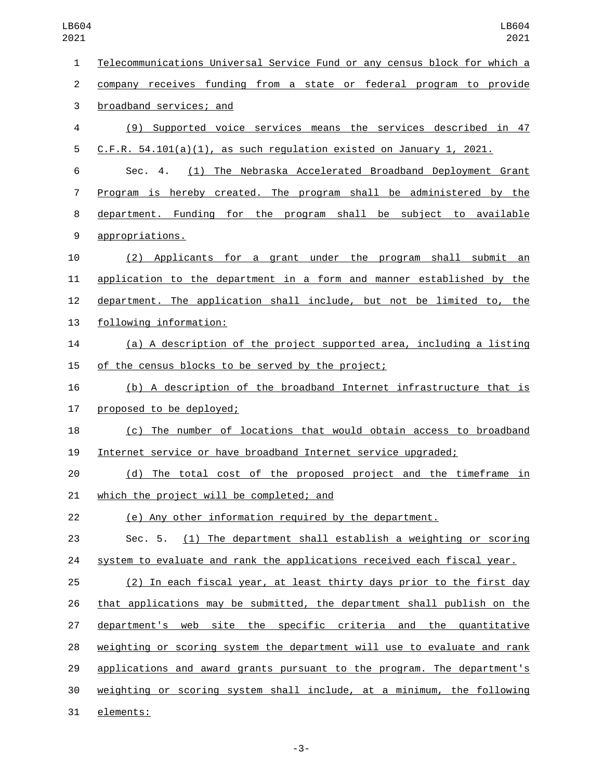| $\mathbf{1}$   | Telecommunications Universal Service Fund or any census block for which a |
|----------------|---------------------------------------------------------------------------|
| $\overline{c}$ | company receives funding from a state or federal program to provide       |
| $\sqrt{3}$     | broadband services; and                                                   |
| 4              | (9) Supported voice services means the services described in 47           |
| 5              | $C.F.R. 54.101(a)(1)$ , as such regulation existed on January 1, 2021.    |
| 6              | (1) The Nebraska Accelerated Broadband Deployment Grant<br>Sec. 4.        |
| 7              | Program is hereby created. The program shall be administered by the       |
| 8              | department. Funding for the program shall be subject to available         |
| 9              | appropriations.                                                           |
| 10             | (2) Applicants for a grant under the program shall submit an              |
| 11             | application to the department in a form and manner established by the     |
| 12             | department. The application shall include, but not be limited to, the     |
| 13             | following information:                                                    |
| 14             | (a) A description of the project supported area, including a listing      |
| 15             | of the census blocks to be served by the project;                         |
| 16             | (b) A description of the broadband Internet infrastructure that is        |
| 17             | proposed to be deployed;                                                  |
| 18             | (c) The number of locations that would obtain access to broadband         |
| 19             | Internet service or have broadband Internet service upgraded;             |
| 20             | (d) The total cost of the proposed project and the timeframe in           |
| 21             | <u>which the project will be completed; and</u>                           |
| 22             | (e) Any other information required by the department.                     |
| 23             | Sec. 5. (1) The department shall establish a weighting or scoring         |
| 24             | system to evaluate and rank the applications received each fiscal year.   |
| 25             | (2) In each fiscal year, at least thirty days prior to the first day      |
| 26             | that applications may be submitted, the department shall publish on the   |
| 27             | department's web site the specific criteria and the quantitative          |
| 28             | weighting or scoring system the department will use to evaluate and rank  |
| 29             | applications and award grants pursuant to the program. The department's   |
| 30             | weighting or scoring system shall include, at a minimum, the following    |
| 31             | elements:                                                                 |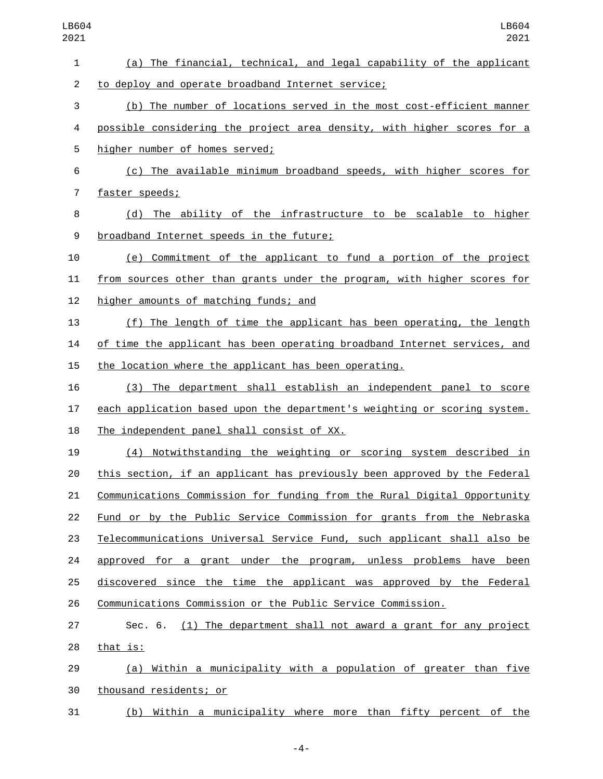| LB604<br>2021  | LB604<br>2021                                                             |
|----------------|---------------------------------------------------------------------------|
| 1              | (a) The financial, technical, and legal capability of the applicant       |
| $\overline{c}$ | to deploy and operate broadband Internet service;                         |
| 3              | (b) The number of locations served in the most cost-efficient manner      |
| 4              | possible considering the project area density, with higher scores for a   |
| 5              | higher number of homes served;                                            |
| 6              | (c) The available minimum broadband speeds, with higher scores for        |
| $\overline{7}$ | faster speeds;                                                            |
| 8              | (d) The ability of the infrastructure to be scalable to higher            |
| 9              | broadband Internet speeds in the future;                                  |
| 10             | (e) Commitment of the applicant to fund a portion of the project          |
| 11             | from sources other than grants under the program, with higher scores for  |
| 12             | higher amounts of matching funds; and                                     |
| 13             | (f) The length of time the applicant has been operating, the length       |
| 14             | of time the applicant has been operating broadband Internet services, and |
| 15             | the location where the applicant has been operating.                      |
| 16             | The department shall establish an independent panel to score<br>(3)       |
| 17             | each application based upon the department's weighting or scoring system. |
| 18             | The independent panel shall consist of XX.                                |
| 19             | Notwithstanding the weighting or scoring system described in<br>(4)       |
| 20             | this section, if an applicant has previously been approved by the Federal |
| 21             | Communications Commission for funding from the Rural Digital Opportunity  |
| 22             | Fund or by the Public Service Commission for grants from the Nebraska     |
| 23             | Telecommunications Universal Service Fund, such applicant shall also be   |
| 24             | approved for a grant under the program, unless problems<br>have been      |
| 25             | discovered since the time the applicant was approved by the Federal       |
| 26             | Communications Commission or the Public Service Commission.               |
| 27             | Sec. 6. (1) The department shall not award a grant for any project        |
| 28             | that is:                                                                  |
| 29             | (a) Within a municipality with a population of greater than five          |
| 30             | thousand residents; or                                                    |
| 31             | Within a municipality where more than fifty percent of the<br>(b)         |

-4-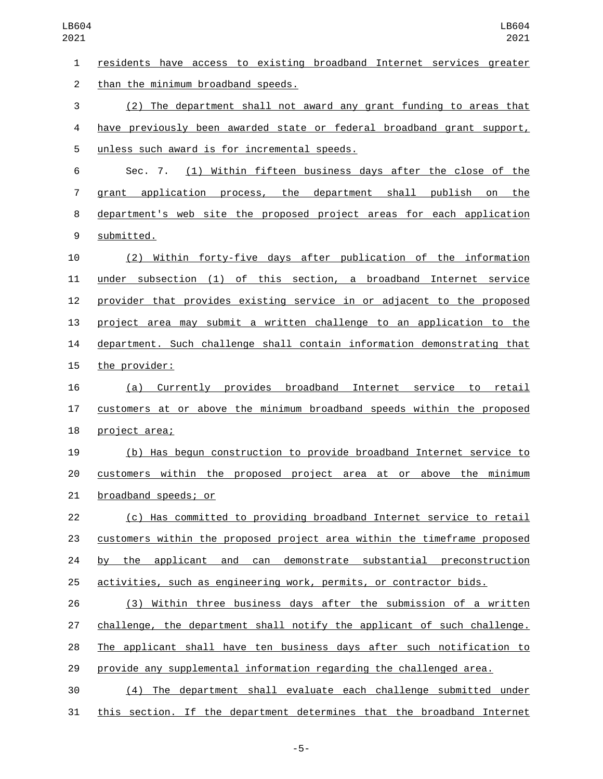| $\mathbf{1}$     | residents have access to existing broadband Internet services greater    |
|------------------|--------------------------------------------------------------------------|
| $\overline{2}$   | than the minimum broadband speeds.                                       |
| 3                | (2) The department shall not award any grant funding to areas that       |
| 4                | have previously been awarded state or federal broadband grant support,   |
| 5                | unless such award is for incremental speeds.                             |
| 6                | (1) Within fifteen business days after the close of the<br>Sec. 7.       |
| $\overline{7}$   | grant application process, the department shall publish on the           |
| 8                | department's web site the proposed project areas for each application    |
| $\boldsymbol{9}$ | submitted.                                                               |
| 10               | (2) Within forty-five days after publication of the information          |
| 11               | under subsection (1) of this section, a broadband Internet service       |
| 12               | provider that provides existing service in or adjacent to the proposed   |
| 13               | project area may submit a written challenge to an application to the     |
| 14               | department. Such challenge shall contain information demonstrating that  |
| 15               | the provider:                                                            |
| 16               | (a) Currently provides broadband Internet service to retail              |
| 17               | customers at or above the minimum broadband speeds within the proposed   |
| 18               | project area;                                                            |
| 19               | (b) Has begun construction to provide broadband Internet service to      |
| 20               | customers within the proposed project area at or above the minimum       |
| 21               | broadband speeds; or                                                     |
| 22               | (c) Has committed to providing broadband Internet service to retail      |
| 23               | customers within the proposed project area within the timeframe proposed |
| 24               | the applicant and can demonstrate substantial preconstruction<br>by      |
| 25               | activities, such as engineering work, permits, or contractor bids.       |
| 26               | (3) Within three business days after the submission of a written         |
| 27               | challenge, the department shall notify the applicant of such challenge.  |
| 28               | The applicant shall have ten business days after such notification to    |
| 29               | provide any supplemental information regarding the challenged area.      |
| 30               | (4) The department shall evaluate each challenge submitted under         |
| 31               | this section. If the department determines that the broadband Internet   |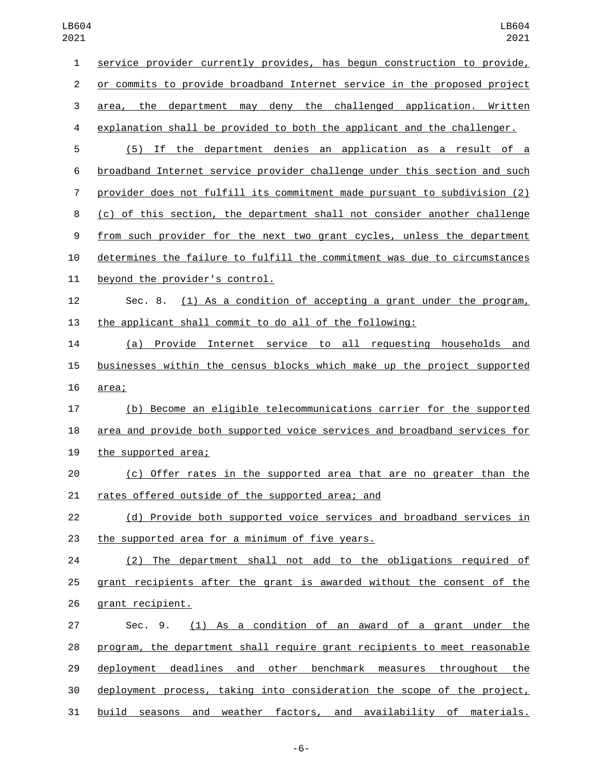| 1              | service provider currently provides, has begun construction to provide,   |
|----------------|---------------------------------------------------------------------------|
| $\overline{c}$ | or commits to provide broadband Internet service in the proposed project  |
| 3              | area, the department may deny the challenged application. Written         |
| 4              | explanation shall be provided to both the applicant and the challenger.   |
| 5              | (5) If the department denies an application as a result of a              |
| 6              | broadband Internet service provider challenge under this section and such |
| 7              | provider does not fulfill its commitment made pursuant to subdivision (2) |
| 8              | (c) of this section, the department shall not consider another challenge  |
| 9              | from such provider for the next two grant cycles, unless the department   |
| 10             | determines the failure to fulfill the commitment was due to circumstances |
| 11             | beyond the provider's control.                                            |
| 12             | Sec. 8. (1) As a condition of accepting a grant under the program,        |
| 13             | the applicant shall commit to do all of the following:                    |
| 14             | (a) Provide Internet service to all requesting households and             |
| 15             | businesses within the census blocks which make up the project supported   |
| 16             | area;                                                                     |
| 17             | (b) Become an eligible telecommunications carrier for the supported       |
| 18             | area and provide both supported voice services and broadband services for |
| 19             | the supported area;                                                       |
| 20             | (c) Offer rates in the supported area that are no greater than the        |
| 21             | rates offered outside of the supported area; and                          |
| 22             | (d) Provide both supported voice services and broadband services in       |
| 23             | the supported area for a minimum of five years.                           |
| 24             | (2) The department shall not add to the obligations required of           |
| 25             | grant recipients after the grant is awarded without the consent of the    |
| 26             | grant recipient.                                                          |
| 27             | (1) As a condition of an award of a grant under the<br>Sec. 9.            |
| 28             | program, the department shall require grant recipients to meet reasonable |
| 29             | deployment deadlines and other benchmark measures throughout the          |
| 30             | deployment process, taking into consideration the scope of the project,   |
| 31             | and weather factors, and availability of materials.<br>build<br>seasons   |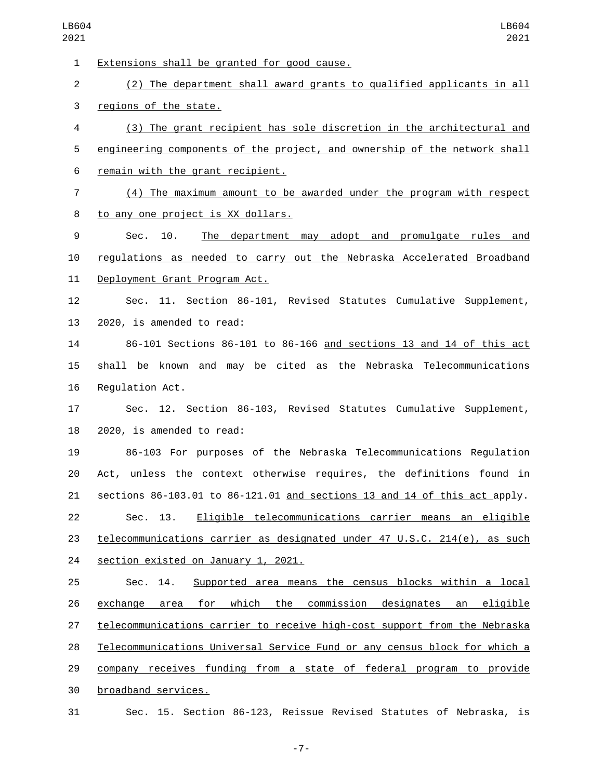1 Extensions shall be granted for good cause. (2) The department shall award grants to qualified applicants in all 3 regions of the state. (3) The grant recipient has sole discretion in the architectural and 5 engineering components of the project, and ownership of the network shall 6 remain with the grant recipient. (4) The maximum amount to be awarded under the program with respect 8 to any one project is XX dollars. Sec. 10. The department may adopt and promulgate rules and regulations as needed to carry out the Nebraska Accelerated Broadband 11 Deployment Grant Program Act. Sec. 11. Section 86-101, Revised Statutes Cumulative Supplement, 13 2020, is amended to read: 86-101 Sections 86-101 to 86-166 and sections 13 and 14 of this act shall be known and may be cited as the Nebraska Telecommunications 16 Requlation Act. Sec. 12. Section 86-103, Revised Statutes Cumulative Supplement, 2020, is amended to read: 86-103 For purposes of the Nebraska Telecommunications Regulation Act, unless the context otherwise requires, the definitions found in sections 86-103.01 to 86-121.01 and sections 13 and 14 of this act apply. Sec. 13. Eligible telecommunications carrier means an eligible telecommunications carrier as designated under 47 U.S.C. 214(e), as such 24 section existed on January 1, 2021. Sec. 14. Supported area means the census blocks within a local exchange area for which the commission designates an eligible telecommunications carrier to receive high-cost support from the Nebraska Telecommunications Universal Service Fund or any census block for which a company receives funding from a state of federal program to provide broadband services.30 Sec. 15. Section 86-123, Reissue Revised Statutes of Nebraska, is

-7-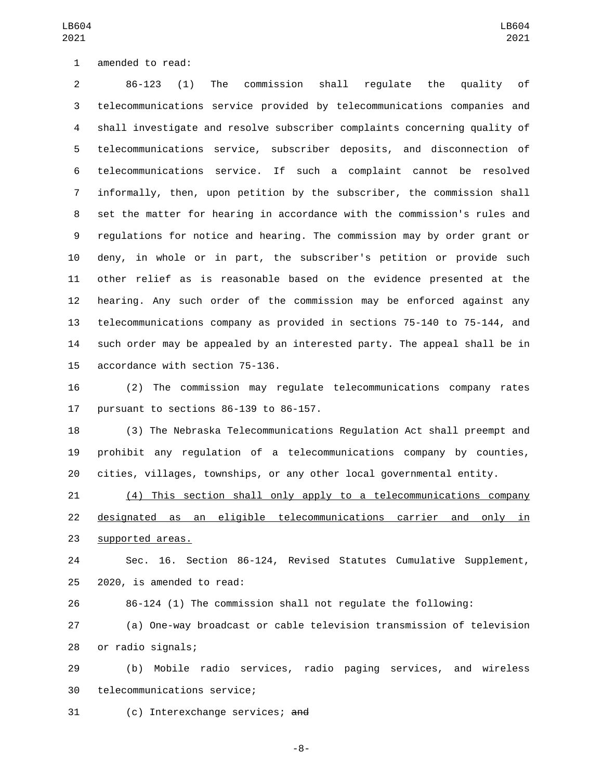1 amended to read:

 86-123 (1) The commission shall regulate the quality of telecommunications service provided by telecommunications companies and shall investigate and resolve subscriber complaints concerning quality of telecommunications service, subscriber deposits, and disconnection of telecommunications service. If such a complaint cannot be resolved informally, then, upon petition by the subscriber, the commission shall set the matter for hearing in accordance with the commission's rules and regulations for notice and hearing. The commission may by order grant or deny, in whole or in part, the subscriber's petition or provide such other relief as is reasonable based on the evidence presented at the hearing. Any such order of the commission may be enforced against any telecommunications company as provided in sections 75-140 to 75-144, and such order may be appealed by an interested party. The appeal shall be in 15 accordance with section 75-136.

 (2) The commission may regulate telecommunications company rates 17 pursuant to sections  $86-139$  to  $86-157$ .

 (3) The Nebraska Telecommunications Regulation Act shall preempt and prohibit any regulation of a telecommunications company by counties, cities, villages, townships, or any other local governmental entity.

 (4) This section shall only apply to a telecommunications company designated as an eligible telecommunications carrier and only in 23 supported areas.

 Sec. 16. Section 86-124, Revised Statutes Cumulative Supplement,  $2020$ , is amended to read:

86-124 (1) The commission shall not regulate the following:

 (a) One-way broadcast or cable television transmission of television 28 or radio signals;

 (b) Mobile radio services, radio paging services, and wireless 30 telecommunications service;

31 (c) Interexchange services; and

-8-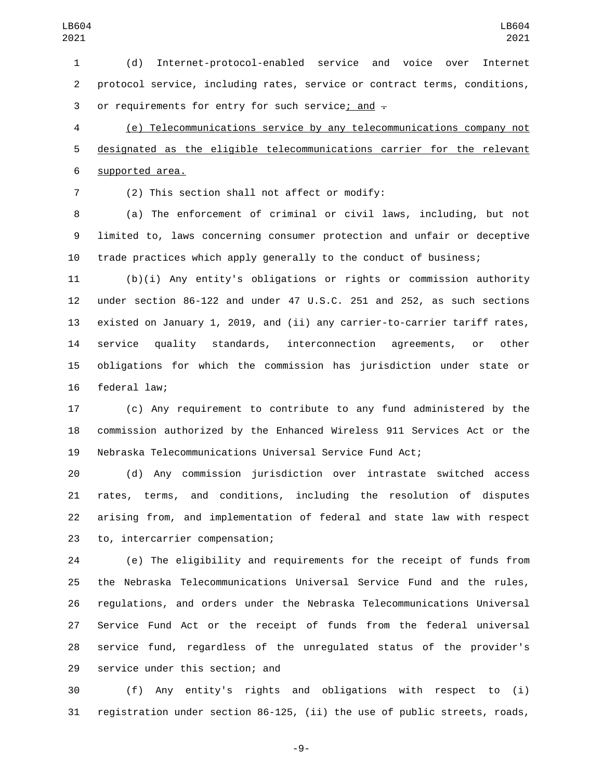(d) Internet-protocol-enabled service and voice over Internet protocol service, including rates, service or contract terms, conditions, 3 or requirements for entry for such service; and  $\overline{z}$ 

 (e) Telecommunications service by any telecommunications company not designated as the eligible telecommunications carrier for the relevant 6 supported area.

(2) This section shall not affect or modify:7

 (a) The enforcement of criminal or civil laws, including, but not limited to, laws concerning consumer protection and unfair or deceptive trade practices which apply generally to the conduct of business;

 (b)(i) Any entity's obligations or rights or commission authority under section 86-122 and under 47 U.S.C. 251 and 252, as such sections existed on January 1, 2019, and (ii) any carrier-to-carrier tariff rates, service quality standards, interconnection agreements, or other obligations for which the commission has jurisdiction under state or 16 federal law;

 (c) Any requirement to contribute to any fund administered by the commission authorized by the Enhanced Wireless 911 Services Act or the Nebraska Telecommunications Universal Service Fund Act;

 (d) Any commission jurisdiction over intrastate switched access rates, terms, and conditions, including the resolution of disputes arising from, and implementation of federal and state law with respect 23 to, intercarrier compensation;

 (e) The eligibility and requirements for the receipt of funds from the Nebraska Telecommunications Universal Service Fund and the rules, regulations, and orders under the Nebraska Telecommunications Universal Service Fund Act or the receipt of funds from the federal universal service fund, regardless of the unregulated status of the provider's 29 service under this section; and

 (f) Any entity's rights and obligations with respect to (i) registration under section 86-125, (ii) the use of public streets, roads,

-9-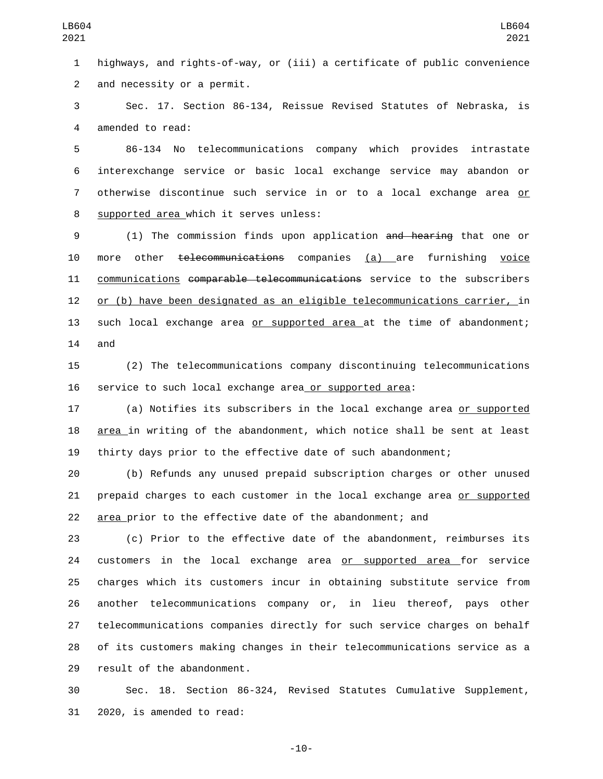highways, and rights-of-way, or (iii) a certificate of public convenience 2 and necessity or a permit.

 Sec. 17. Section 86-134, Reissue Revised Statutes of Nebraska, is 4 amended to read:

 86-134 No telecommunications company which provides intrastate interexchange service or basic local exchange service may abandon or 7 otherwise discontinue such service in or to a local exchange area or 8 supported area which it serves unless:

 (1) The commission finds upon application and hearing that one or more other telecommunications companies (a) are furnishing voice communications comparable telecommunications service to the subscribers or (b) have been designated as an eligible telecommunications carrier, in such local exchange area or supported area at the time of abandonment; and

 (2) The telecommunications company discontinuing telecommunications service to such local exchange area or supported area:

17 (a) Notifies its subscribers in the local exchange area <u>or supported</u> area in writing of the abandonment, which notice shall be sent at least thirty days prior to the effective date of such abandonment;

 (b) Refunds any unused prepaid subscription charges or other unused prepaid charges to each customer in the local exchange area or supported area prior to the effective date of the abandonment; and

 (c) Prior to the effective date of the abandonment, reimburses its 24 customers in the local exchange area or supported area for service charges which its customers incur in obtaining substitute service from another telecommunications company or, in lieu thereof, pays other telecommunications companies directly for such service charges on behalf of its customers making changes in their telecommunications service as a 29 result of the abandonment.

 Sec. 18. Section 86-324, Revised Statutes Cumulative Supplement, 31 2020, is amended to read:

-10-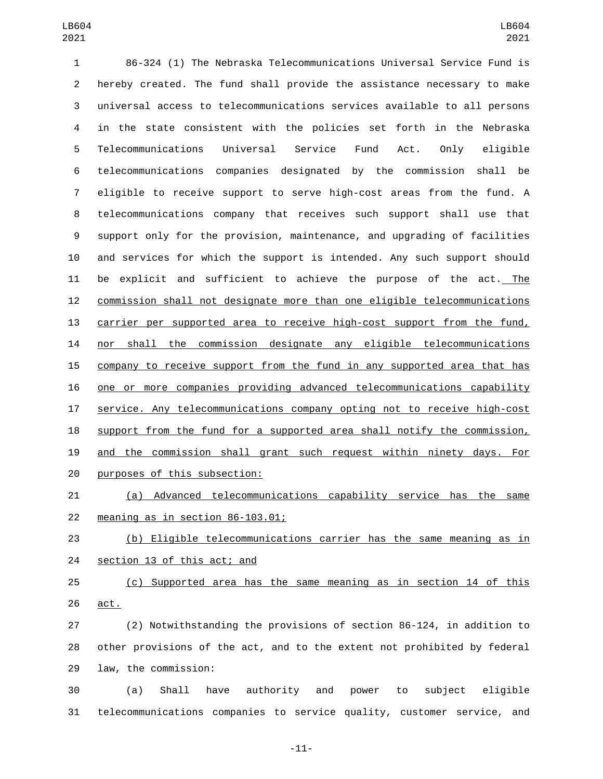86-324 (1) The Nebraska Telecommunications Universal Service Fund is hereby created. The fund shall provide the assistance necessary to make universal access to telecommunications services available to all persons in the state consistent with the policies set forth in the Nebraska Telecommunications Universal Service Fund Act. Only eligible telecommunications companies designated by the commission shall be eligible to receive support to serve high-cost areas from the fund. A telecommunications company that receives such support shall use that support only for the provision, maintenance, and upgrading of facilities and services for which the support is intended. Any such support should be explicit and sufficient to achieve the purpose of the act. The commission shall not designate more than one eligible telecommunications carrier per supported area to receive high-cost support from the fund, nor shall the commission designate any eligible telecommunications company to receive support from the fund in any supported area that has one or more companies providing advanced telecommunications capability service. Any telecommunications company opting not to receive high-cost support from the fund for a supported area shall notify the commission, and the commission shall grant such request within ninety days. For 20 purposes of this subsection:

 (a) Advanced telecommunications capability service has the same 22 meaning as in section  $86-103.01$ ;

 (b) Eligible telecommunications carrier has the same meaning as in 24 section 13 of this act; and

 (c) Supported area has the same meaning as in section 14 of this act.

 (2) Notwithstanding the provisions of section 86-124, in addition to other provisions of the act, and to the extent not prohibited by federal 29 law, the commission:

 (a) Shall have authority and power to subject eligible telecommunications companies to service quality, customer service, and

-11-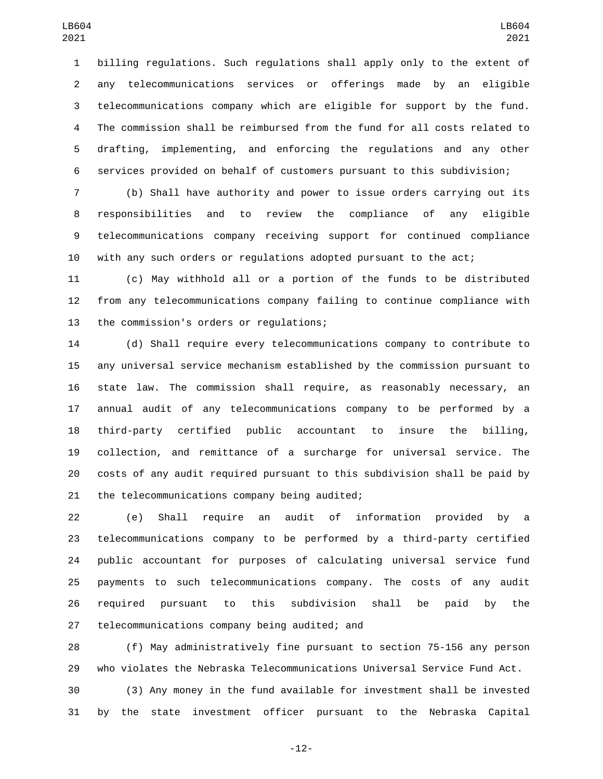billing regulations. Such regulations shall apply only to the extent of any telecommunications services or offerings made by an eligible telecommunications company which are eligible for support by the fund. The commission shall be reimbursed from the fund for all costs related to drafting, implementing, and enforcing the regulations and any other services provided on behalf of customers pursuant to this subdivision;

 (b) Shall have authority and power to issue orders carrying out its responsibilities and to review the compliance of any eligible telecommunications company receiving support for continued compliance with any such orders or regulations adopted pursuant to the act;

 (c) May withhold all or a portion of the funds to be distributed from any telecommunications company failing to continue compliance with 13 the commission's orders or requlations;

 (d) Shall require every telecommunications company to contribute to any universal service mechanism established by the commission pursuant to state law. The commission shall require, as reasonably necessary, an annual audit of any telecommunications company to be performed by a third-party certified public accountant to insure the billing, collection, and remittance of a surcharge for universal service. The costs of any audit required pursuant to this subdivision shall be paid by 21 the telecommunications company being audited;

 (e) Shall require an audit of information provided by a telecommunications company to be performed by a third-party certified public accountant for purposes of calculating universal service fund payments to such telecommunications company. The costs of any audit required pursuant to this subdivision shall be paid by the 27 telecommunications company being audited; and

 (f) May administratively fine pursuant to section 75-156 any person who violates the Nebraska Telecommunications Universal Service Fund Act.

 (3) Any money in the fund available for investment shall be invested by the state investment officer pursuant to the Nebraska Capital

-12-